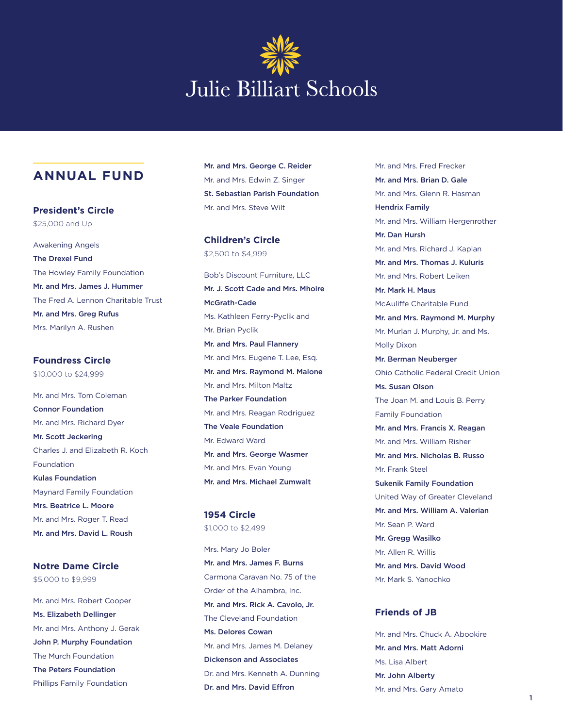# **Julie Billiart Schools**

# **ANNUAL FUND**

**President's Circle** \$25,000 and Up

Awakening Angels The Drexel Fund The Howley Family Foundation Mr. and Mrs. James J. Hummer The Fred A. Lennon Charitable Trust Mr. and Mrs. Greg Rufus Mrs. Marilyn A. Rushen

**Foundress Circle** \$10,000 to \$24,999

Mr. and Mrs. Tom Coleman Connor Foundation Mr. and Mrs. Richard Dyer Mr. Scott Jeckering Charles J. and Elizabeth R. Koch Foundation Kulas Foundation Maynard Family Foundation Mrs. Beatrice L. Moore Mr. and Mrs. Roger T. Read Mr. and Mrs. David L. Roush

Mr. and Mrs. Robert Cooper **Notre Dame Circle** \$5,000 to \$9,999

Ms. Elizabeth Dellinger Mr. and Mrs. Anthony J. Gerak John P. Murphy Foundation The Murch Foundation The Peters Foundation Phillips Family Foundation

Mr. and Mrs. George C. Reider Mr. and Mrs. Edwin Z. Singer St. Sebastian Parish Foundation Mr. and Mrs. Steve Wilt

**Children's Circle** \$2,500 to \$4,999

Bob's Discount Furniture, LLC Mr. J. Scott Cade and Mrs. Mhoire McGrath-Cade Ms. Kathleen Ferry-Pyclik and Mr. Brian Pyclik Mr. and Mrs. Paul Flannery Mr. and Mrs. Eugene T. Lee, Esq. Mr. and Mrs. Raymond M. Malone Mr. and Mrs. Milton Maltz The Parker Foundation Mr. and Mrs. Reagan Rodriguez The Veale Foundation Mr. Edward Ward Mr. and Mrs. George Wasmer Mr. and Mrs. Evan Young Mr. and Mrs. Michael Zumwalt

**1954 Circle** \$1,000 to \$2,499

Mrs. Mary Jo Boler Mr. and Mrs. James F. Burns Carmona Caravan No. 75 of the Order of the Alhambra, Inc. Mr. and Mrs. Rick A. Cavolo, Jr. The Cleveland Foundation Ms. Delores Cowan Mr. and Mrs. James M. Delaney Dickenson and Associates Dr. and Mrs. Kenneth A. Dunning Dr. and Mrs. David Effron

Mr. and Mrs. Fred Frecker Mr. and Mrs. Brian D. Gale Mr. and Mrs. Glenn R. Hasman Hendrix Family Mr. and Mrs. William Hergenrother Mr. Dan Hursh Mr. and Mrs. Richard J. Kaplan Mr. and Mrs. Thomas J. Kuluris Mr. and Mrs. Robert Leiken Mr. Mark H. Maus McAuliffe Charitable Fund Mr. and Mrs. Raymond M. Murphy Mr. Murlan J. Murphy, Jr. and Ms. Molly Dixon Mr. Berman Neuberger Ohio Catholic Federal Credit Union Ms. Susan Olson The Joan M. and Louis B. Perry Family Foundation Mr. and Mrs. Francis X. Reagan Mr. and Mrs. William Risher Mr. and Mrs. Nicholas B. Russo Mr. Frank Steel Sukenik Family Foundation United Way of Greater Cleveland Mr. and Mrs. William A. Valerian Mr. Sean P. Ward Mr. Gregg Wasilko Mr. Allen R. Willis Mr. and Mrs. David Wood Mr. Mark S. Yanochko

### **Friends of JB**

Mr. and Mrs. Chuck A. Abookire Mr. and Mrs. Matt Adorni Ms. Lisa Albert Mr. John Alberty Mr. and Mrs. Gary Amato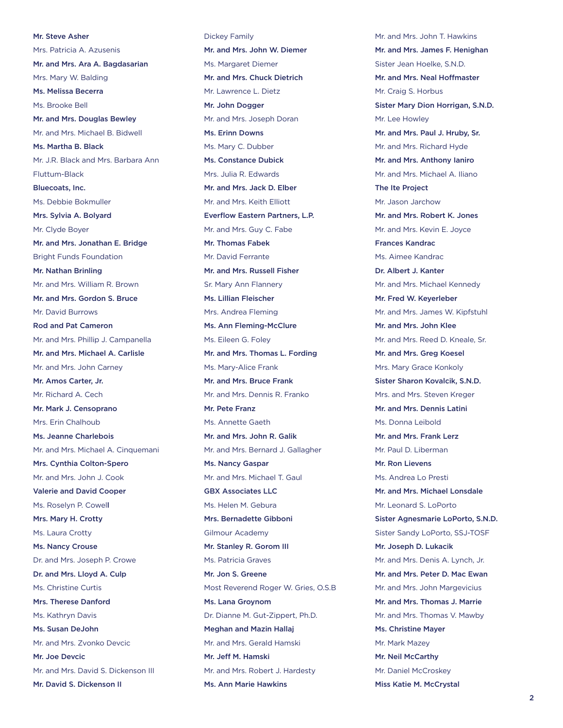Mr. Steve Asher Mrs. Patricia A. Azusenis Mr. and Mrs. Ara A. Bagdasarian Mrs. Mary W. Balding Ms. Melissa Becerra Ms. Brooke Bell Mr. and Mrs. Douglas Bewley Mr. and Mrs. Michael B. Bidwell Ms. Martha B. Black Mr. J.R. Black and Mrs. Barbara Ann Fluttum-Black Bluecoats, Inc. Ms. Debbie Bokmuller Mrs. Sylvia A. Bolyard Mr. Clyde Boyer Mr. and Mrs. Jonathan E. Bridge Bright Funds Foundation Mr. Nathan Brinling Mr. and Mrs. William R. Brown Mr. and Mrs. Gordon S. Bruce Mr. David Burrows Rod and Pat Cameron Mr. and Mrs. Phillip J. Campanella Mr. and Mrs. Michael A. Carlisle Mr. and Mrs. John Carney Mr. Amos Carter, Jr. Mr. Richard A. Cech Mr. Mark J. Censoprano Mrs. Erin Chalhoub Ms. Jeanne Charlebois Mr. and Mrs. Michael A. Cinquemani Mrs. Cynthia Colton-Spero Mr. and Mrs. John J. Cook Valerie and David Cooper Ms. Roselyn P. Cowell Mrs. Mary H. Crotty Ms. Laura Crotty Ms. Nancy Crouse Dr. and Mrs. Joseph P. Crowe Dr. and Mrs. Lloyd A. Culp Ms. Christine Curtis Mrs. Therese Danford Ms. Kathryn Davis Ms. Susan DeJohn Mr. and Mrs. Zvonko Devcic Mr. Joe Devcic Mr. and Mrs. David S. Dickenson III Mr. David S. Dickenson II

Dickey Family Mr. and Mrs. John W. Diemer Ms. Margaret Diemer Mr. and Mrs. Chuck Dietrich Mr. Lawrence L. Dietz Mr. John Dogger Mr. and Mrs. Joseph Doran Ms. Erinn Downs Ms. Mary C. Dubber Ms. Constance Dubick Mrs. Julia R. Edwards Mr. and Mrs. Jack D. Elber Mr. and Mrs. Keith Elliott Everflow Eastern Partners, L.P. Mr. and Mrs. Guy C. Fabe Mr. Thomas Fabek Mr. David Ferrante Mr. and Mrs. Russell Fisher Sr. Mary Ann Flannery Ms. Lillian Fleischer Mrs. Andrea Fleming Ms. Ann Fleming-McClure Ms. Eileen G. Foley Mr. and Mrs. Thomas L. Fording Ms. Mary-Alice Frank Mr. and Mrs. Bruce Frank Mr. and Mrs. Dennis R. Franko Mr. Pete Franz Ms. Annette Gaeth Mr. and Mrs. John R. Galik Mr. and Mrs. Bernard J. Gallagher Ms. Nancy Gaspar Mr. and Mrs. Michael T. Gaul GBX Associates LLC Ms. Helen M. Gebura Mrs. Bernadette Gibboni Gilmour Academy Mr. Stanley R. Gorom III Ms. Patricia Graves Mr. Jon S. Greene Most Reverend Roger W. Gries, O.S.B Ms. Lana Groynom Dr. Dianne M. Gut-Zippert, Ph.D. Meghan and Mazin Hallaj Mr. and Mrs. Gerald Hamski Mr. Jeff M. Hamski Mr. and Mrs. Robert J. Hardesty Ms. Ann Marie Hawkins

Mr. and Mrs. John T. Hawkins Mr. and Mrs. James F. Henighan Sister Jean Hoelke, S.N.D. Mr. and Mrs. Neal Hoffmaster Mr. Craig S. Horbus Sister Mary Dion Horrigan, S.N.D. Mr. Lee Howley Mr. and Mrs. Paul J. Hruby, Sr. Mr. and Mrs. Richard Hyde Mr. and Mrs. Anthony Ianiro Mr. and Mrs. Michael A. Iliano The Ite Project Mr. Jason Jarchow Mr. and Mrs. Robert K. Jones Mr. and Mrs. Kevin E. Joyce Frances Kandrac Ms. Aimee Kandrac Dr. Albert J. Kanter Mr. and Mrs. Michael Kennedy Mr. Fred W. Keyerleber Mr. and Mrs. James W. Kipfstuhl Mr. and Mrs. John Klee Mr. and Mrs. Reed D. Kneale, Sr. Mr. and Mrs. Greg Koesel Mrs. Mary Grace Konkoly Sister Sharon Kovalcik, S.N.D. Mrs. and Mrs. Steven Kreger Mr. and Mrs. Dennis Latini Ms. Donna Leibold Mr. and Mrs. Frank Lerz Mr. Paul D. Liberman Mr. Ron Lievens Ms. Andrea Lo Presti Mr. and Mrs. Michael Lonsdale Mr. Leonard S. LoPorto Sister Agnesmarie LoPorto, S.N.D. Sister Sandy LoPorto, SSJ-TOSF Mr. Joseph D. Lukacik Mr. and Mrs. Denis A. Lynch, Jr. Mr. and Mrs. Peter D. Mac Ewan Mr. and Mrs. John Margevicius Mr. and Mrs. Thomas J. Marrie Mr. and Mrs. Thomas V. Mawby Ms. Christine Mayer Mr. Mark Mazey Mr. Neil McCarthy Mr. Daniel McCroskey Miss Katie M. McCrystal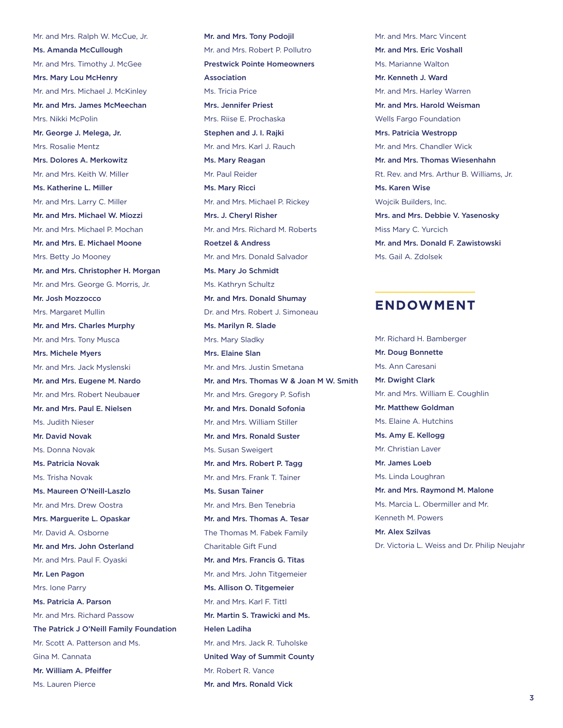Mr. and Mrs. Ralph W. McCue, Jr. Ms. Amanda McCullough Mr. and Mrs. Timothy J. McGee Mrs. Mary Lou McHenry Mr. and Mrs. Michael J. McKinley Mr. and Mrs. James McMeechan Mrs. Nikki McPolin Mr. George J. Melega, Jr. Mrs. Rosalie Mentz Mrs. Dolores A. Merkowitz Mr. and Mrs. Keith W. Miller Ms. Katherine L. Miller Mr. and Mrs. Larry C. Miller Mr. and Mrs. Michael W. Miozzi Mr. and Mrs. Michael P. Mochan Mr. and Mrs. E. Michael Moone Mrs. Betty Jo Mooney Mr. and Mrs. Christopher H. Morgan Mr. and Mrs. George G. Morris, Jr. Mr. Josh Mozzocco Mrs. Margaret Mullin Mr. and Mrs. Charles Murphy Mr. and Mrs. Tony Musca Mrs. Michele Myers Mr. and Mrs. Jack Myslenski Mr. and Mrs. Eugene M. Nardo Mr. and Mrs. Robert Neubauer Mr. and Mrs. Paul E. Nielsen Ms. Judith Nieser Mr. David Novak Ms. Donna Novak Ms. Patricia Novak Ms. Trisha Novak Ms. Maureen O'Neill-Laszlo Mr. and Mrs. Drew Oostra Mrs. Marguerite L. Opaskar Mr. David A. Osborne Mr. and Mrs. John Osterland Mr. and Mrs. Paul F. Oyaski Mr. Len Pagon Mrs. Ione Parry Ms. Patricia A. Parson Mr. and Mrs. Richard Passow The Patrick J O'Neill Family Foundation Mr. Scott A. Patterson and Ms. Gina M. Cannata Mr. William A. Pfeiffer Ms. Lauren Pierce

Mr. and Mrs. Tony Podojil Mr. and Mrs. Robert P. Pollutro Prestwick Pointe Homeowners Association Ms. Tricia Price Mrs. Jennifer Priest Mrs. Riise E. Prochaska Stephen and J. I. Rajki Mr. and Mrs. Karl J. Rauch Ms. Mary Reagan Mr. Paul Reider Ms. Mary Ricci Mr. and Mrs. Michael P. Rickey Mrs. J. Cheryl Risher Mr. and Mrs. Richard M. Roberts Roetzel & Andress Mr. and Mrs. Donald Salvador Ms. Mary Jo Schmidt Ms. Kathryn Schultz Mr. and Mrs. Donald Shumay Dr. and Mrs. Robert J. Simoneau Ms. Marilyn R. Slade Mrs. Mary Sladky Mrs. Elaine Slan Mr. and Mrs. Justin Smetana Mr. and Mrs. Thomas W & Joan M W. Smith Mr. and Mrs. Gregory P. Sofish Mr. and Mrs. Donald Sofonia Mr. and Mrs. William Stiller Mr. and Mrs. Ronald Suster Ms. Susan Sweigert Mr. and Mrs. Robert P. Tagg Mr. and Mrs. Frank T. Tainer Ms. Susan Tainer Mr. and Mrs. Ben Tenebria Mr. and Mrs. Thomas A. Tesar The Thomas M. Fabek Family Charitable Gift Fund Mr. and Mrs. Francis G. Titas Mr. and Mrs. John Titgemeier Ms. Allison O. Titgemeier Mr. and Mrs. Karl F. Tittl Mr. Martin S. Trawicki and Ms. Helen Ladiha Mr. and Mrs. Jack R. Tuholske United Way of Summit County Mr. Robert R. Vance Mr. and Mrs. Ronald Vick

Mr. and Mrs. Marc Vincent Mr. and Mrs. Eric Voshall Ms. Marianne Walton Mr. Kenneth J. Ward Mr. and Mrs. Harley Warren Mr. and Mrs. Harold Weisman Wells Fargo Foundation Mrs. Patricia Westropp Mr. and Mrs. Chandler Wick Mr. and Mrs. Thomas Wiesenhahn Rt. Rev. and Mrs. Arthur B. Williams, Jr. Ms. Karen Wise Wojcik Builders, Inc. Mrs. and Mrs. Debbie V. Yasenosky Miss Mary C. Yurcich Mr. and Mrs. Donald F. Zawistowski Ms. Gail A. Zdolsek

## **ENDOWMENT**

Mr. Richard H. Bamberger Mr. Doug Bonnette Ms. Ann Caresani Mr. Dwight Clark Mr. and Mrs. William E. Coughlin Mr. Matthew Goldman Ms. Elaine A. Hutchins Ms. Amy E. Kellogg Mr. Christian Laver Mr. James Loeb Ms. Linda Loughran Mr. and Mrs. Raymond M. Malone Ms. Marcia L. Obermiller and Mr. Kenneth M. Powers Mr. Alex Szilvas Dr. Victoria L. Weiss and Dr. Philip Neujahr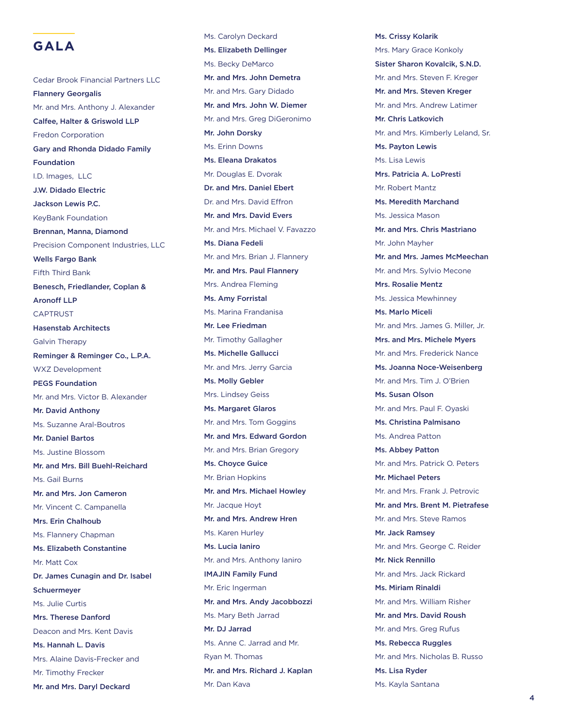

Cedar Brook Financial Partners LLC Flannery Georgalis Mr. and Mrs. Anthony J. Alexander Calfee, Halter & Griswold LLP Fredon Corporation Gary and Rhonda Didado Family Foundation I.D. Images, LLC J.W. Didado Electric Jackson Lewis P.C. KeyBank Foundation Brennan, Manna, Diamond Precision Component Industries, LLC Wells Fargo Bank Fifth Third Bank Benesch, Friedlander, Coplan & Aronoff LLP CAPTRUST Hasenstab Architects Galvin Therapy Reminger & Reminger Co., L.P.A. WXZ Development PEGS Foundation Mr. and Mrs. Victor B. Alexander Mr. David Anthony Ms. Suzanne Aral-Boutros Mr. Daniel Bartos Ms. Justine Blossom Mr. and Mrs. Bill Buehl-Reichard Ms. Gail Burns Mr. and Mrs. Jon Cameron Mr. Vincent C. Campanella Mrs. Erin Chalhoub Ms. Flannery Chapman Ms. Elizabeth Constantine Mr. Matt Cox Dr. James Cunagin and Dr. Isabel Schuermeyer Ms. Julie Curtis Mrs. Therese Danford Deacon and Mrs. Kent Davis Ms. Hannah L. Davis Mrs. Alaine Davis-Frecker and Mr. Timothy Frecker Mr. and Mrs. Daryl Deckard

Ms. Carolyn Deckard Ms. Elizabeth Dellinger Ms. Becky DeMarco Mr. and Mrs. John Demetra Mr. and Mrs. Gary Didado Mr. and Mrs. John W. Diemer Mr. and Mrs. Greg DiGeronimo Mr. John Dorsky Ms. Erinn Downs Ms. Eleana Drakatos Mr. Douglas E. Dvorak Dr. and Mrs. Daniel Ebert Dr. and Mrs. David Effron Mr. and Mrs. David Evers Mr. and Mrs. Michael V. Favazzo Ms. Diana Fedeli Mr. and Mrs. Brian J. Flannery Mr. and Mrs. Paul Flannery Mrs. Andrea Fleming Ms. Amy Forristal Ms. Marina Frandanisa Mr. Lee Friedman Mr. Timothy Gallagher Ms. Michelle Gallucci Mr. and Mrs. Jerry Garcia Ms. Molly Gebler Mrs. Lindsey Geiss Ms. Margaret Glaros Mr. and Mrs. Tom Goggins Mr. and Mrs. Edward Gordon Mr. and Mrs. Brian Gregory Ms. Choyce Guice Mr. Brian Hopkins Mr. and Mrs. Michael Howley Mr. Jacque Hoyt Mr. and Mrs. Andrew Hren Ms. Karen Hurley Ms. Lucia Ianiro Mr. and Mrs. Anthony Ianiro IMAJIN Family Fund Mr. Eric Ingerman Mr. and Mrs. Andy Jacobbozzi Ms. Mary Beth Jarrad Mr. DJ Jarrad Ms. Anne C. Jarrad and Mr. Ryan M. Thomas Mr. and Mrs. Richard J. Kaplan Mr. Dan Kava

Ms. Crissy Kolarik Mrs. Mary Grace Konkoly Sister Sharon Kovalcik, S.N.D. Mr. and Mrs. Steven F. Kreger Mr. and Mrs. Steven Kreger Mr. and Mrs. Andrew Latimer Mr. Chris Latkovich Mr. and Mrs. Kimberly Leland, Sr. Ms. Payton Lewis Ms. Lisa Lewis Mrs. Patricia A. LoPresti Mr. Robert Mantz Ms. Meredith Marchand Ms. Jessica Mason Mr. and Mrs. Chris Mastriano Mr. John Mayher Mr. and Mrs. James McMeechan Mr. and Mrs. Sylvio Mecone Mrs. Rosalie Mentz Ms. Jessica Mewhinney Ms. Marlo Miceli Mr. and Mrs. James G. Miller, Jr. Mrs. and Mrs. Michele Myers Mr. and Mrs. Frederick Nance Ms. Joanna Noce-Weisenberg Mr. and Mrs. Tim J. O'Brien Ms. Susan Olson Mr. and Mrs. Paul F. Oyaski Ms. Christina Palmisano Ms. Andrea Patton Ms. Abbey Patton Mr. and Mrs. Patrick O. Peters Mr. Michael Peters Mr. and Mrs. Frank J. Petrovic Mr. and Mrs. Brent M. Pietrafese Mr. and Mrs. Steve Ramos Mr. Jack Ramsey Mr. and Mrs. George C. Reider Mr. Nick Rennillo Mr. and Mrs. Jack Rickard Ms. Miriam Rinaldi Mr. and Mrs. William Risher Mr. and Mrs. David Roush Mr. and Mrs. Greg Rufus Ms. Rebecca Ruggles Mr. and Mrs. Nicholas B. Russo Ms. Lisa Ryder Ms. Kayla Santana